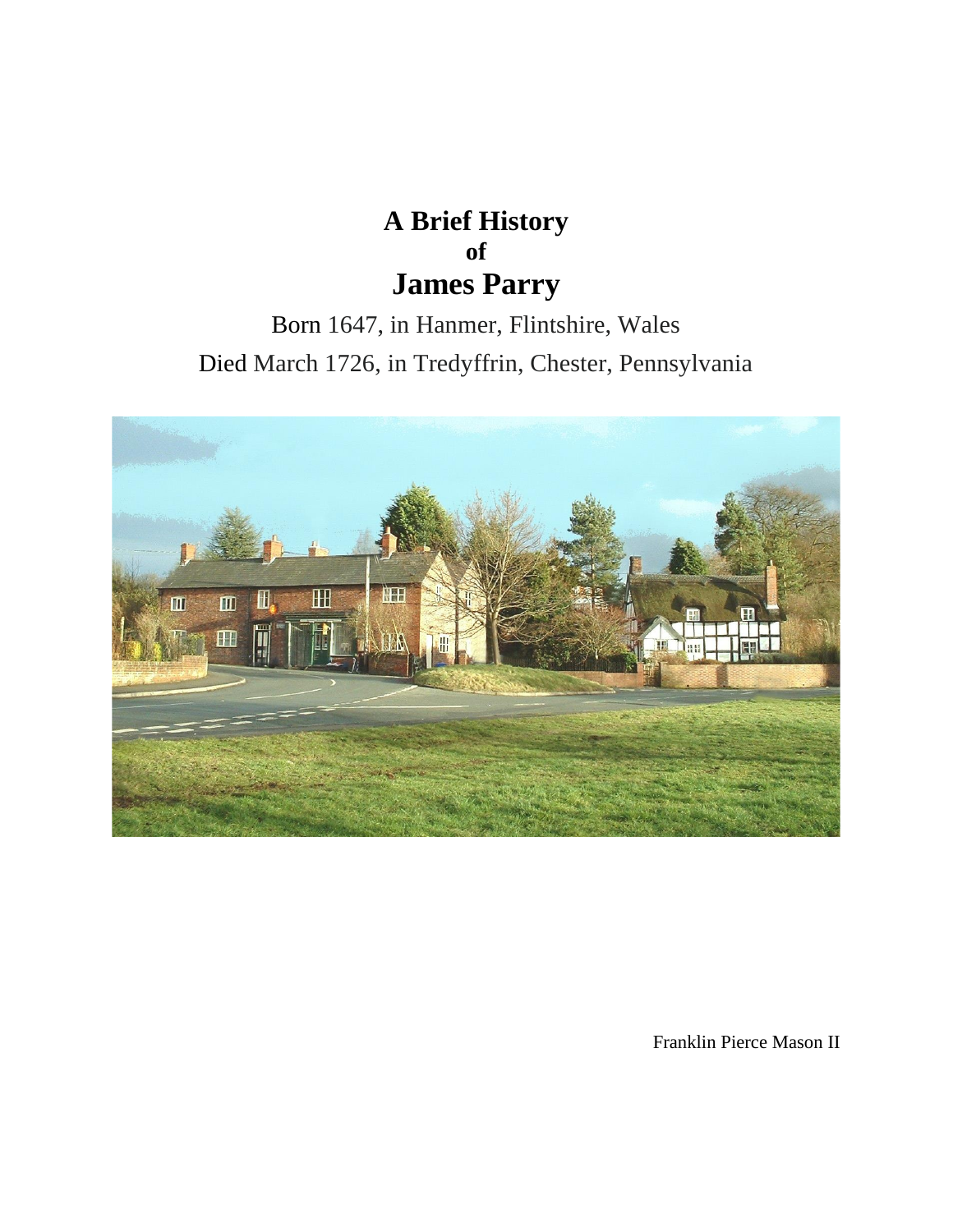## **A Brief History of James Parry**

Born 1647, in Hanmer, Flintshire, Wales Died March 1726, in Tredyffrin, Chester, Pennsylvania



Franklin Pierce Mason II